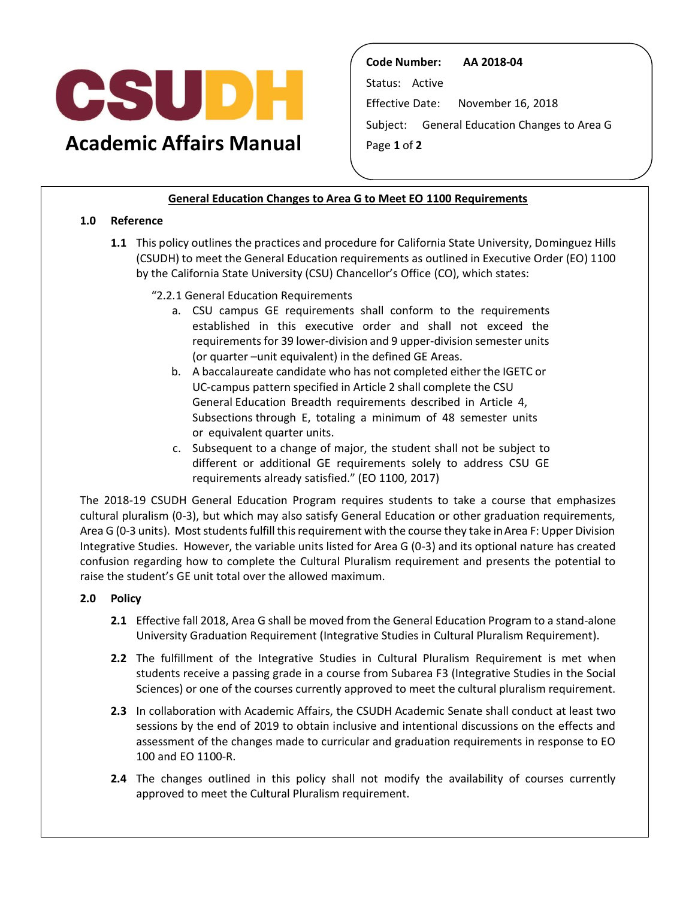

**Academic Affairs Manual** 

**Code Number: AA 2018-04**  Status: Active Effective Date: November 16, 2018 Subject: General Education Changes to Area G Page **1** of **2** 

## **General Education Changes to Area G to Meet EO 1100 Requirements**

## **1.0 Reference**

- **1.1** This policy outlines the practices and procedure for California State University, Dominguez Hills by the California State University (CSU) Chancellor's Office (CO), which states: (CSUDH) to meet the General Education requirements as outlined in Executive Order (EO) 1100
	- "2.2.1 General Education Requirements
		- a. CSU campus GE requirements shall conform to the requirements established in this executive order and shall not exceed the requirements for 39 lower-division and 9 upper-division semester units (or quarter –unit equivalent) in the defined GE Areas.
		- b. A baccalaureate candidate who has not completed either the IGETC or UC-campus pattern specified in Article 2 shall complete the CSU Subsections through E, totaling a minimum of 48 semester units General Education Breadth requirements described in Article 4, or equivalent quarter units.
		- c. Subsequent to a change of major, the student shall not be subject to different or additional GE requirements solely to address CSU GE requirements already satisfied." (EO 1100, 2017)

 The 2018-19 CSUDH General Education Program requires students to take a course that emphasizes cultural pluralism (0-3), but which may also satisfy General Education or other graduation requirements, Area G (0-3 units). Most students fulfill this requirement with the course they take inArea F: Upper Division confusion regarding how to complete the Cultural Pluralism requirement and presents the potential to Integrative Studies. However, the variable units listed for Area G (0-3) and its optional nature has created raise the student's GE unit total over the allowed maximum.

## **2.0 Policy**

- **2.1** Effective fall 2018, Area G shall be moved from the General Education Program to a stand-alone University Graduation Requirement (Integrative Studies in Cultural Pluralism Requirement).
- **2.2** The fulfillment of the Integrative Studies in Cultural Pluralism Requirement is met when students receive a passing grade in a course from Subarea F3 (Integrative Studies in the Social Sciences) or one of the courses currently approved to meet the cultural pluralism requirement.
- **2.3** In collaboration with Academic Affairs, the CSUDH Academic Senate shall conduct at least two sessions by the end of 2019 to obtain inclusive and intentional discussions on the effects and assessment of the changes made to curricular and graduation requirements in response to EO 100 and EO 1100-R.
- **2.4** The changes outlined in this policy shall not modify the availability of courses currently approved to meet the Cultural Pluralism requirement.